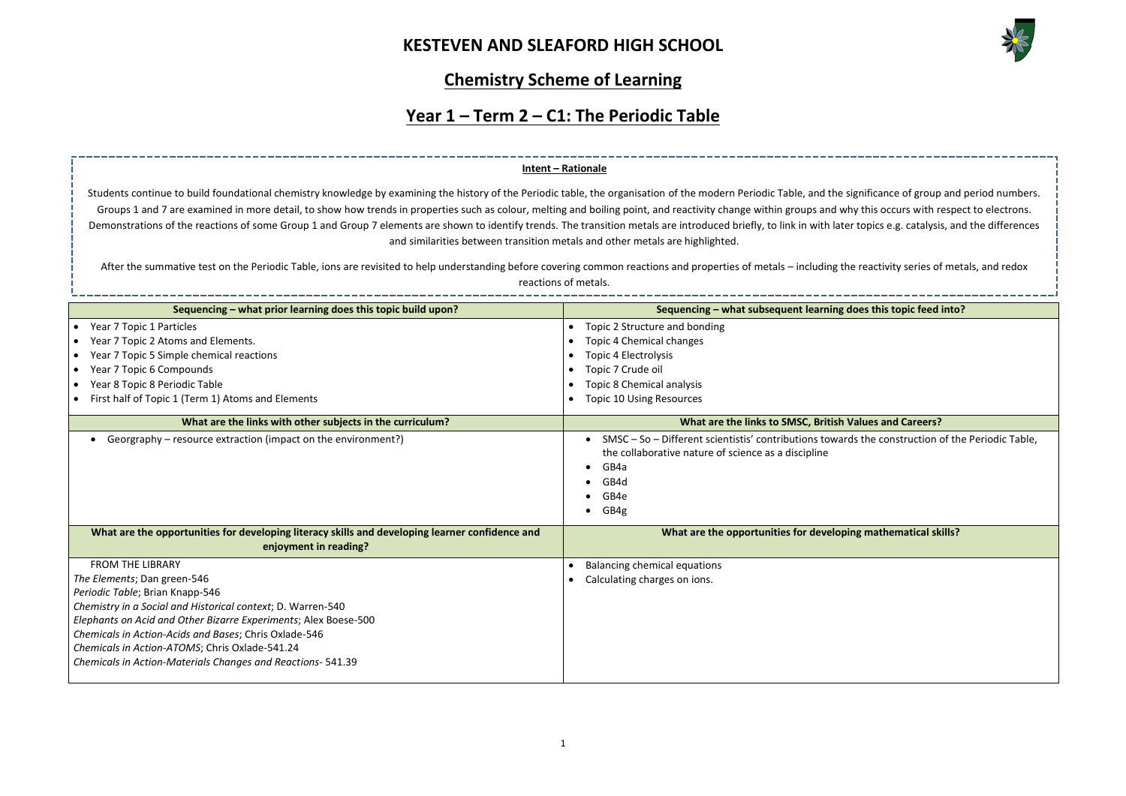

--------------------------**zequencing inding topic feed into? sequence What What Subsets With Careers?** rds the construction of the Periodic Table, **Phatr are in arthematical skills?** 

### **Chemistry Scheme of Learning**

# **Year 1 – Term 2 – C1: The Periodic Table**

| Sequencing - what prior learning does this topic build upon?                                                             | Sequencing - what subsequent learning                                                                                                        |
|--------------------------------------------------------------------------------------------------------------------------|----------------------------------------------------------------------------------------------------------------------------------------------|
| Year 7 Topic 1 Particles<br>$\bullet$                                                                                    | Topic 2 Structure and bonding<br>$\bullet$                                                                                                   |
| Year 7 Topic 2 Atoms and Elements.<br>$\bullet$                                                                          | Topic 4 Chemical changes<br>$\bullet$                                                                                                        |
| Year 7 Topic 5 Simple chemical reactions<br>$\bullet$                                                                    | <b>Topic 4 Electrolysis</b>                                                                                                                  |
| Year 7 Topic 6 Compounds<br>$\bullet$                                                                                    | Topic 7 Crude oil<br>$\bullet$                                                                                                               |
| Year 8 Topic 8 Periodic Table<br>$\bullet$                                                                               | <b>Topic 8 Chemical analysis</b><br>$\bullet$                                                                                                |
| First half of Topic 1 (Term 1) Atoms and Elements                                                                        | <b>Topic 10 Using Resources</b>                                                                                                              |
| What are the links with other subjects in the curriculum?                                                                | What are the links to SMSC, British                                                                                                          |
| Georgraphy – resource extraction (impact on the environment?)                                                            | SMSC - So - Different scientistis' contributions towa<br>the collaborative nature of science as a discipline<br>GB4a<br>GB4d<br>GB4e<br>GB4g |
| What are the opportunities for developing literacy skills and developing learner confidence and<br>enjoyment in reading? | What are the opportunities for develop                                                                                                       |
| <b>FROM THE LIBRARY</b>                                                                                                  | <b>Balancing chemical equations</b><br>$\bullet$                                                                                             |
| The Elements; Dan green-546                                                                                              | Calculating charges on ions.                                                                                                                 |
| Periodic Table; Brian Knapp-546                                                                                          |                                                                                                                                              |
| Chemistry in a Social and Historical context; D. Warren-540                                                              |                                                                                                                                              |
| Elephants on Acid and Other Bizarre Experiments; Alex Boese-500                                                          |                                                                                                                                              |
| Chemicals in Action-Acids and Bases; Chris Oxlade-546                                                                    |                                                                                                                                              |
| Chemicals in Action-ATOMS; Chris Oxlade-541.24                                                                           |                                                                                                                                              |
| Chemicals in Action-Materials Changes and Reactions- 541.39                                                              |                                                                                                                                              |

Students continue to build foundational chemistry knowledge by examining the history of the Periodic table, the organisation of the modern Periodic Table, and the significance of group and period numbers. Groups 1 and 7 are examined in more detail, to show how trends in properties such as colour, melting and boiling point, and reactivity change within groups and why this occurs with respect to electrons. Demonstrations of the reactions of some Group 1 and Group 7 elements are shown to identify trends. The transition metals are introduced briefly, to link in with later topics e.g. catalysis, and the differences and similarities between transition metals and other metals are highlighted.

After the summative test on the Periodic Table, ions are revisited to help understanding before covering common reactions and properties of metals – including the reactivity series of metals, and redox reactions of metals.

#### **Intent – Rationale**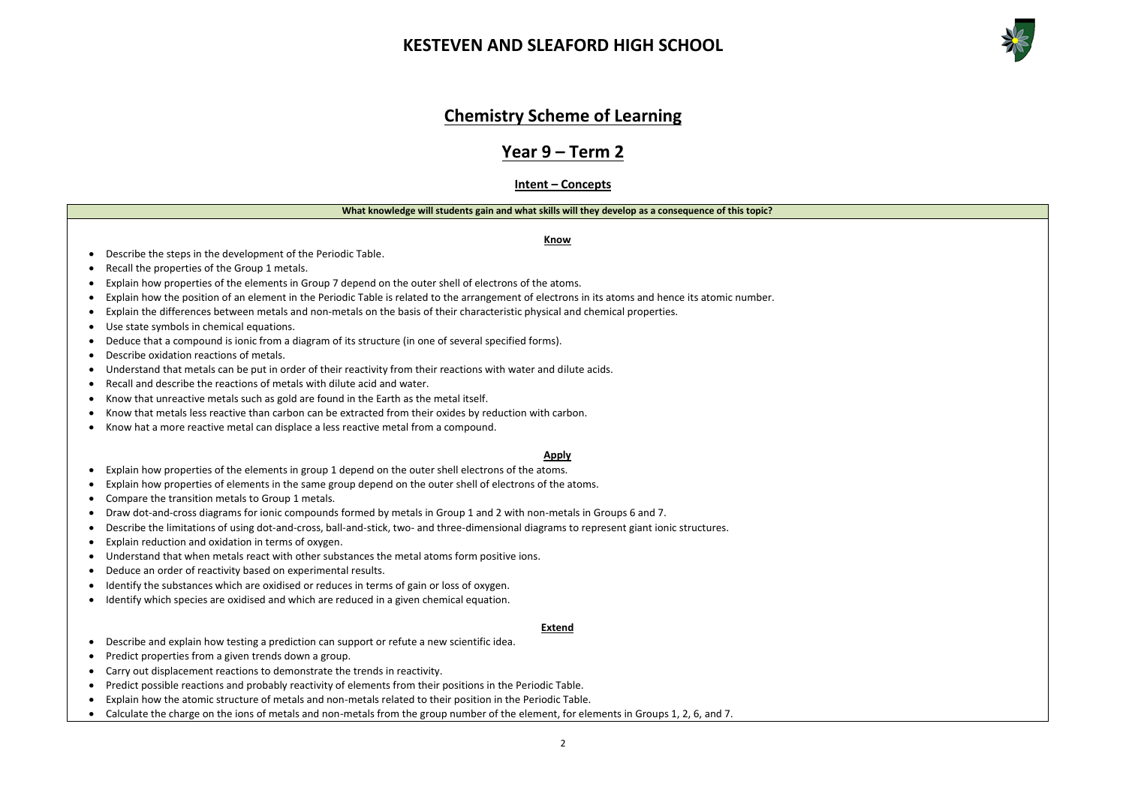



### **Chemistry Scheme of Learning**

### **Year 9 – Term 2**

**Intent – Concepts**

#### **What knowledge will students gain and what skills will they develop as a consequence of this topic?**

**Know**

- Describe the steps in the development of the Periodic Table.
- Recall the properties of the Group 1 metals.
- Explain how properties of the elements in Group 7 depend on the outer shell of electrons of the atoms.
- Explain how the position of an element in the Periodic Table is related to the arrangement of electrons in its atoms and hence its atomic number.
- Explain the differences between metals and non-metals on the basis of their characteristic physical and chemical properties.
- Use state symbols in chemical equations.
- Deduce that a compound is ionic from a diagram of its structure (in one of several specified forms).
- Describe oxidation reactions of metals.
- Understand that metals can be put in order of their reactivity from their reactions with water and dilute acids.
- Recall and describe the reactions of metals with dilute acid and water.
- Know that unreactive metals such as gold are found in the Earth as the metal itself.
- Know that metals less reactive than carbon can be extracted from their oxides by reduction with carbon.
- Know hat a more reactive metal can displace a less reactive metal from a compound.

#### **Apply**

- Explain how properties of the elements in group 1 depend on the outer shell electrons of the atoms.
- Explain how properties of elements in the same group depend on the outer shell of electrons of the atoms.
- Compare the transition metals to Group 1 metals.
- Draw dot-and-cross diagrams for ionic compounds formed by metals in Group 1 and 2 with non-metals in Groups 6 and 7.
- Describe the limitations of using dot-and-cross, ball-and-stick, two- and three-dimensional diagrams to represent giant ionic structures.
- Explain reduction and oxidation in terms of oxygen.
- Understand that when metals react with other substances the metal atoms form positive ions.
- Deduce an order of reactivity based on experimental results.
- Identify the substances which are oxidised or reduces in terms of gain or loss of oxygen.
- Identify which species are oxidised and which are reduced in a given chemical equation.

#### **Extend**

- Describe and explain how testing a prediction can support or refute a new scientific idea.
- Predict properties from a given trends down a group.
- Carry out displacement reactions to demonstrate the trends in reactivity.
- Predict possible reactions and probably reactivity of elements from their positions in the Periodic Table.
- Explain how the atomic structure of metals and non-metals related to their position in the Periodic Table.
- Calculate the charge on the ions of metals and non-metals from the group number of the element, for elements in Groups 1, 2, 6, and 7.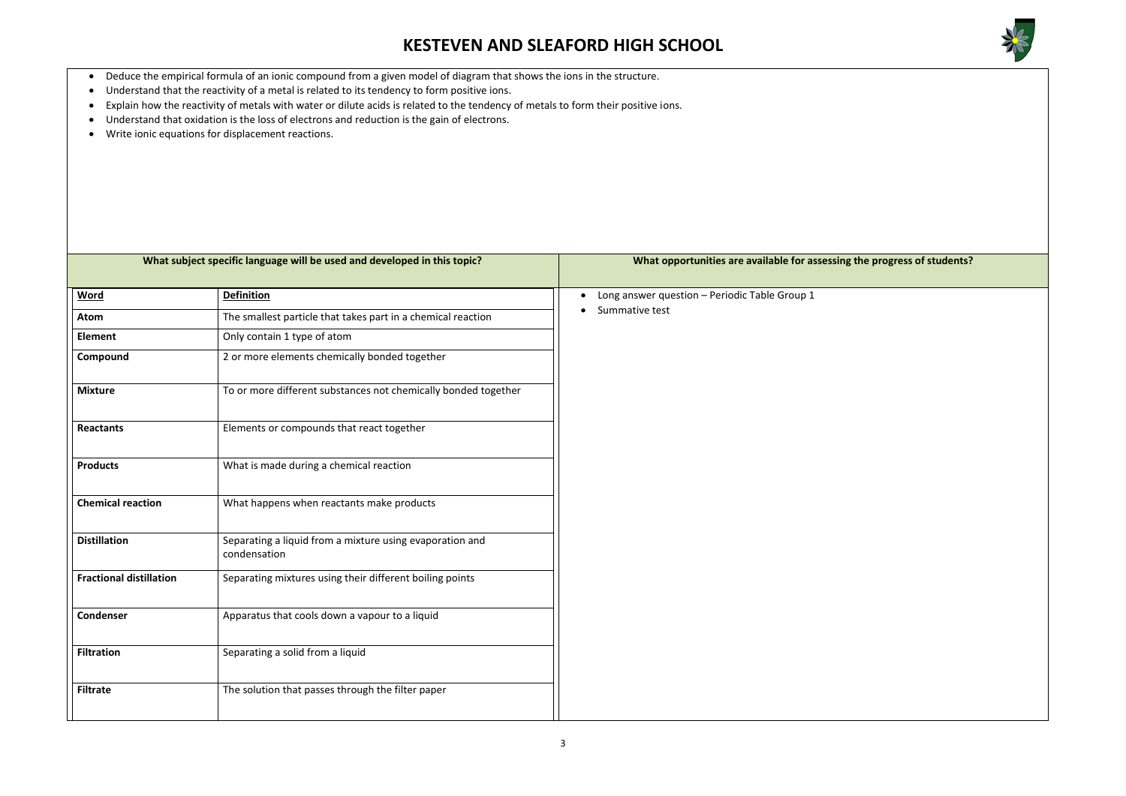

### **wheer in specific specific specific specific specific students?**

- Deduce the empirical formula of an ionic compound from a given model of diagram that shows the ions in the structure.
- Understand that the reactivity of a metal is related to its tendency to form positive ions.
- Explain how the reactivity of metals with water or dilute acids is related to the tendency of metals to form their positive ions.
- Understand that oxidation is the loss of electrons and reduction is the gain of electrons.
- Write ionic equations for displacement reactions.

| What subject specific language will be used and developed in this topic? |                                                                          | What opportunities are available for assessing |
|--------------------------------------------------------------------------|--------------------------------------------------------------------------|------------------------------------------------|
| <b>Word</b>                                                              | <b>Definition</b>                                                        | Long answer question - Periodic Table Group 1  |
| Atom                                                                     | The smallest particle that takes part in a chemical reaction             | Summative test                                 |
| <b>Element</b>                                                           | Only contain 1 type of atom                                              |                                                |
| Compound                                                                 | 2 or more elements chemically bonded together                            |                                                |
| <b>Mixture</b>                                                           | To or more different substances not chemically bonded together           |                                                |
| <b>Reactants</b>                                                         | Elements or compounds that react together                                |                                                |
| <b>Products</b>                                                          | What is made during a chemical reaction                                  |                                                |
| <b>Chemical reaction</b>                                                 | What happens when reactants make products                                |                                                |
| <b>Distillation</b>                                                      | Separating a liquid from a mixture using evaporation and<br>condensation |                                                |
| <b>Fractional distillation</b>                                           | Separating mixtures using their different boiling points                 |                                                |
| <b>Condenser</b>                                                         | Apparatus that cools down a vapour to a liquid                           |                                                |
| <b>Filtration</b>                                                        | Separating a solid from a liquid                                         |                                                |
| <b>Filtrate</b>                                                          | The solution that passes through the filter paper                        |                                                |
|                                                                          |                                                                          |                                                |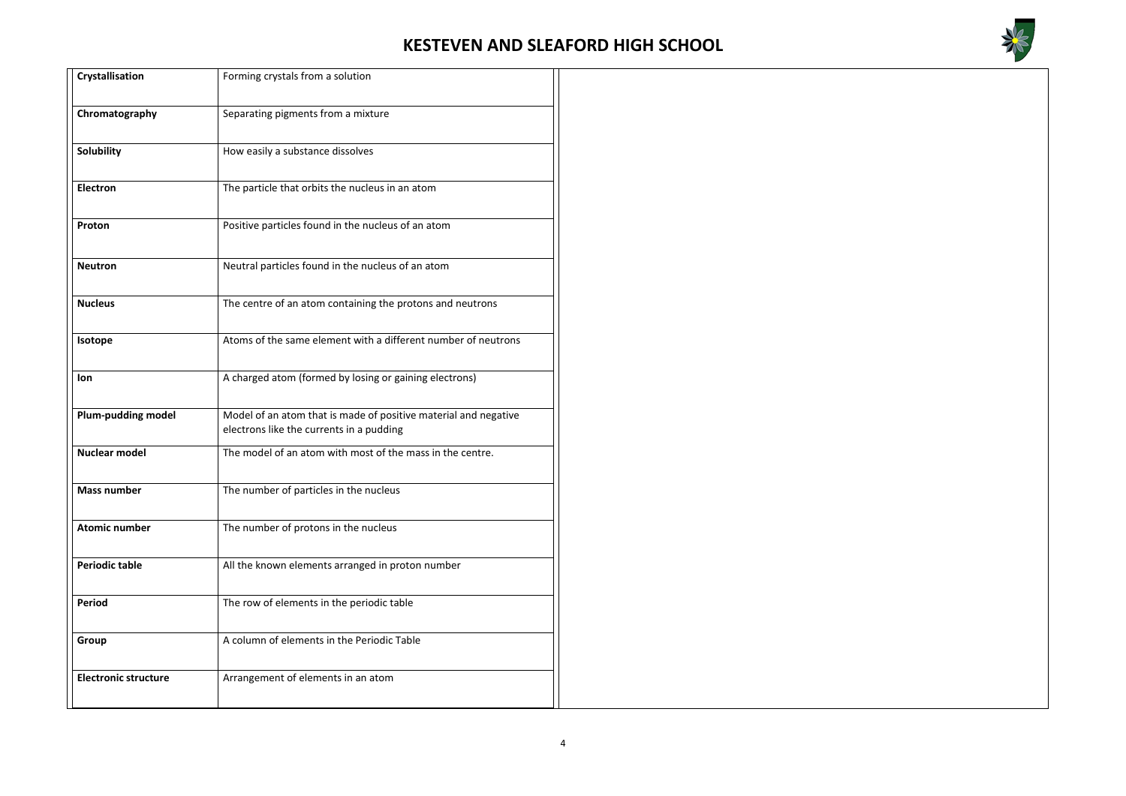

| <b>Crystallisation</b>      | Forming crystals from a solution                                                                            |
|-----------------------------|-------------------------------------------------------------------------------------------------------------|
| Chromatography              | Separating pigments from a mixture                                                                          |
| Solubility                  | How easily a substance dissolves                                                                            |
| <b>Electron</b>             | The particle that orbits the nucleus in an atom                                                             |
| Proton                      | Positive particles found in the nucleus of an atom                                                          |
| <b>Neutron</b>              | Neutral particles found in the nucleus of an atom                                                           |
| <b>Nucleus</b>              | The centre of an atom containing the protons and neutrons                                                   |
| Isotope                     | Atoms of the same element with a different number of neutrons                                               |
| lon                         | A charged atom (formed by losing or gaining electrons)                                                      |
| <b>Plum-pudding model</b>   | Model of an atom that is made of positive material and negative<br>electrons like the currents in a pudding |
| <b>Nuclear model</b>        | The model of an atom with most of the mass in the centre.                                                   |
| Mass number                 | The number of particles in the nucleus                                                                      |
| <b>Atomic number</b>        | The number of protons in the nucleus                                                                        |
| <b>Periodic table</b>       | All the known elements arranged in proton number                                                            |
| <b>Period</b>               | The row of elements in the periodic table                                                                   |
| Group                       | A column of elements in the Periodic Table                                                                  |
| <b>Electronic structure</b> | Arrangement of elements in an atom                                                                          |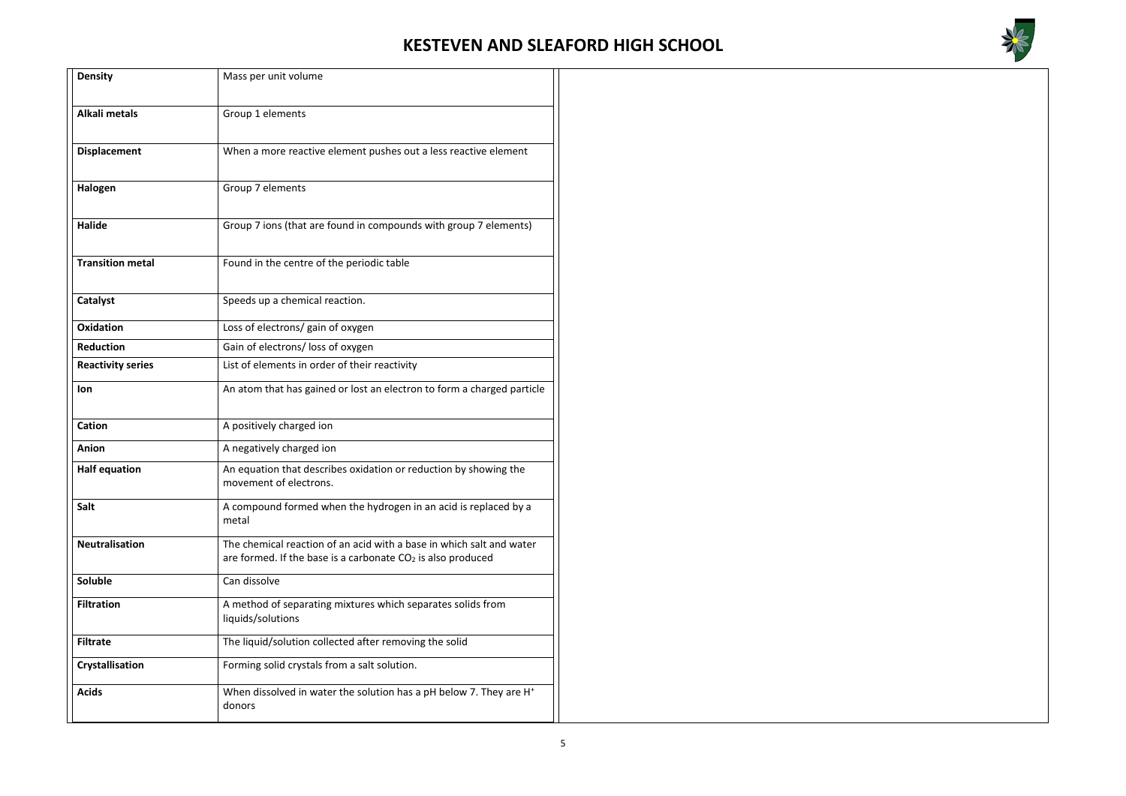

| <b>Density</b>           | Mass per unit volume                                                                                                                  |  |  |
|--------------------------|---------------------------------------------------------------------------------------------------------------------------------------|--|--|
| <b>Alkali metals</b>     | Group 1 elements                                                                                                                      |  |  |
| <b>Displacement</b>      | When a more reactive element pushes out a less reactive element                                                                       |  |  |
| Halogen                  | Group 7 elements                                                                                                                      |  |  |
| <b>Halide</b>            | Group 7 ions (that are found in compounds with group 7 elements)                                                                      |  |  |
| <b>Transition metal</b>  | Found in the centre of the periodic table                                                                                             |  |  |
| Catalyst                 | Speeds up a chemical reaction.                                                                                                        |  |  |
| <b>Oxidation</b>         | Loss of electrons/ gain of oxygen                                                                                                     |  |  |
| <b>Reduction</b>         | Gain of electrons/ loss of oxygen                                                                                                     |  |  |
| <b>Reactivity series</b> | List of elements in order of their reactivity                                                                                         |  |  |
| lon                      | An atom that has gained or lost an electron to form a charged particle                                                                |  |  |
| Cation                   | A positively charged ion                                                                                                              |  |  |
| Anion                    | A negatively charged ion                                                                                                              |  |  |
| <b>Half equation</b>     | An equation that describes oxidation or reduction by showing the<br>movement of electrons.                                            |  |  |
| <b>Salt</b>              | A compound formed when the hydrogen in an acid is replaced by a<br>metal                                                              |  |  |
| <b>Neutralisation</b>    | The chemical reaction of an acid with a base in which salt and water<br>are formed. If the base is a carbonate $CO2$ is also produced |  |  |
| Soluble                  | Can dissolve                                                                                                                          |  |  |
| <b>Filtration</b>        | A method of separating mixtures which separates solids from<br>liquids/solutions                                                      |  |  |
| <b>Filtrate</b>          | The liquid/solution collected after removing the solid                                                                                |  |  |
| Crystallisation          | Forming solid crystals from a salt solution.                                                                                          |  |  |
| <b>Acids</b>             | When dissolved in water the solution has a pH below 7. They are H <sup>+</sup><br>donors                                              |  |  |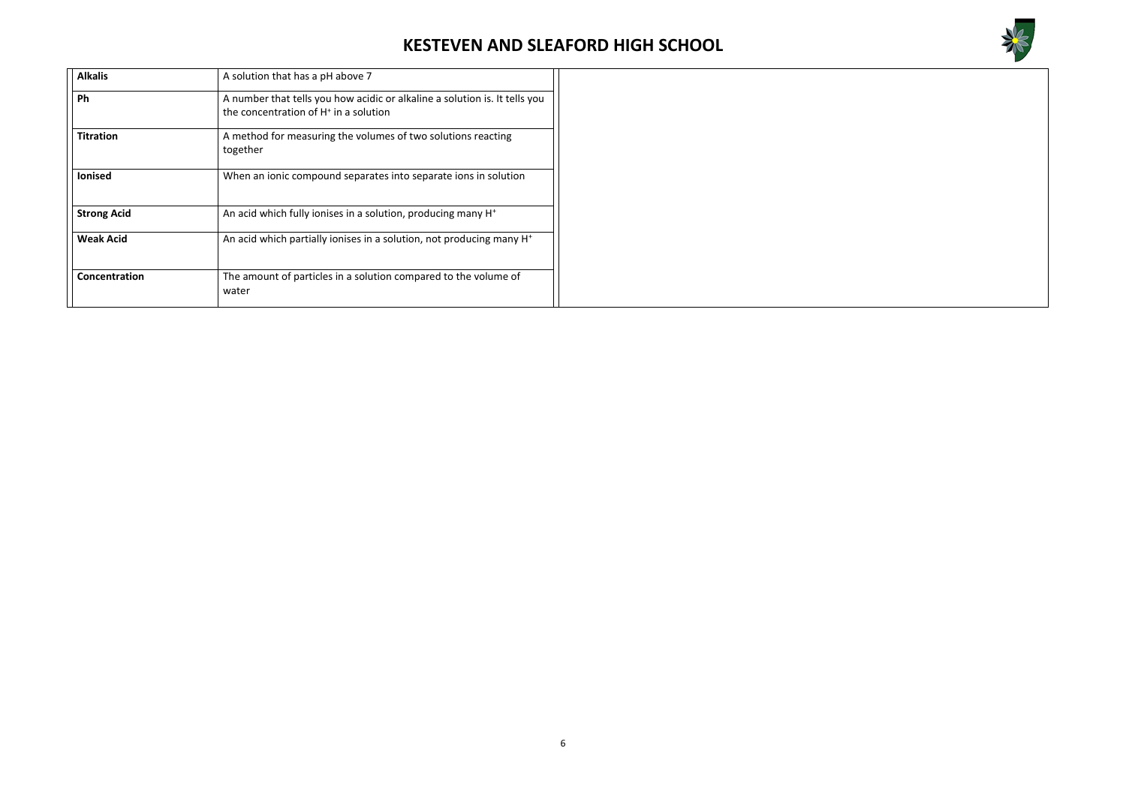

| <b>Alkalis</b>     | A solution that has a pH above 7                                                                                                |
|--------------------|---------------------------------------------------------------------------------------------------------------------------------|
| Ph                 | A number that tells you how acidic or alkaline a solution is. It tells you<br>the concentration of H <sup>+</sup> in a solution |
| <b>Titration</b>   | A method for measuring the volumes of two solutions reacting<br>together                                                        |
| <b>lonised</b>     | When an ionic compound separates into separate ions in solution                                                                 |
| <b>Strong Acid</b> | An acid which fully ionises in a solution, producing many H <sup>+</sup>                                                        |
| <b>Weak Acid</b>   | An acid which partially ionises in a solution, not producing many H <sup>+</sup>                                                |
| Concentration      | The amount of particles in a solution compared to the volume of<br>water                                                        |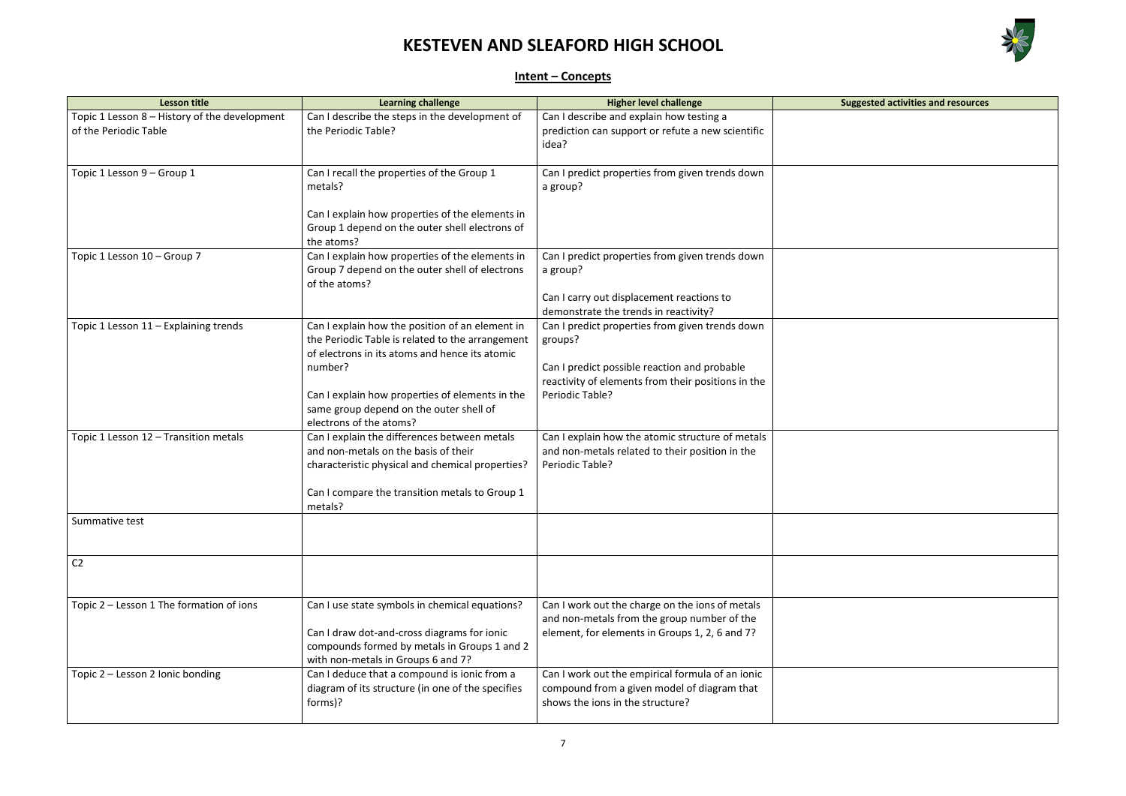

| ggested activities and resources |  |
|----------------------------------|--|
|                                  |  |
|                                  |  |
|                                  |  |
|                                  |  |
|                                  |  |
|                                  |  |
|                                  |  |
|                                  |  |
|                                  |  |
|                                  |  |
|                                  |  |
|                                  |  |
|                                  |  |
|                                  |  |
|                                  |  |
|                                  |  |
|                                  |  |
|                                  |  |
|                                  |  |
|                                  |  |
|                                  |  |
|                                  |  |
|                                  |  |
|                                  |  |
|                                  |  |
|                                  |  |
|                                  |  |
|                                  |  |
|                                  |  |
|                                  |  |
|                                  |  |
|                                  |  |
|                                  |  |
|                                  |  |
|                                  |  |
|                                  |  |
|                                  |  |
|                                  |  |
|                                  |  |
|                                  |  |
|                                  |  |
|                                  |  |
|                                  |  |
|                                  |  |
|                                  |  |
|                                  |  |
|                                  |  |
|                                  |  |
|                                  |  |
|                                  |  |
|                                  |  |
|                                  |  |
|                                  |  |
|                                  |  |
|                                  |  |

### **Intent – Concepts**

| <b>Lesson title</b>                           | <b>Learning challenge</b>                                                                          | <b>Higher level challenge</b>                      | <b>Suggested activities and resources</b> |
|-----------------------------------------------|----------------------------------------------------------------------------------------------------|----------------------------------------------------|-------------------------------------------|
| Topic 1 Lesson 8 - History of the development | Can I describe the steps in the development of                                                     | Can I describe and explain how testing a           |                                           |
| of the Periodic Table                         | the Periodic Table?                                                                                | prediction can support or refute a new scientific  |                                           |
|                                               |                                                                                                    | idea?                                              |                                           |
|                                               |                                                                                                    |                                                    |                                           |
| Topic 1 Lesson 9 - Group 1                    | Can I recall the properties of the Group 1<br>metals?                                              | Can I predict properties from given trends down    |                                           |
|                                               |                                                                                                    | a group?                                           |                                           |
|                                               | Can I explain how properties of the elements in                                                    |                                                    |                                           |
|                                               | Group 1 depend on the outer shell electrons of                                                     |                                                    |                                           |
|                                               | the atoms?                                                                                         |                                                    |                                           |
| Topic 1 Lesson 10 - Group 7                   | Can I explain how properties of the elements in                                                    | Can I predict properties from given trends down    |                                           |
|                                               | Group 7 depend on the outer shell of electrons                                                     | a group?                                           |                                           |
|                                               | of the atoms?                                                                                      |                                                    |                                           |
|                                               |                                                                                                    | Can I carry out displacement reactions to          |                                           |
|                                               |                                                                                                    | demonstrate the trends in reactivity?              |                                           |
| Topic 1 Lesson 11 - Explaining trends         | Can I explain how the position of an element in                                                    | Can I predict properties from given trends down    |                                           |
|                                               | the Periodic Table is related to the arrangement<br>of electrons in its atoms and hence its atomic | groups?                                            |                                           |
|                                               | number?                                                                                            | Can I predict possible reaction and probable       |                                           |
|                                               |                                                                                                    | reactivity of elements from their positions in the |                                           |
|                                               | Can I explain how properties of elements in the                                                    | Periodic Table?                                    |                                           |
|                                               | same group depend on the outer shell of                                                            |                                                    |                                           |
|                                               | electrons of the atoms?                                                                            |                                                    |                                           |
| Topic 1 Lesson 12 - Transition metals         | Can I explain the differences between metals                                                       | Can I explain how the atomic structure of metals   |                                           |
|                                               | and non-metals on the basis of their                                                               | and non-metals related to their position in the    |                                           |
|                                               | characteristic physical and chemical properties?                                                   | Periodic Table?                                    |                                           |
|                                               | Can I compare the transition metals to Group 1                                                     |                                                    |                                           |
|                                               | metals?                                                                                            |                                                    |                                           |
| Summative test                                |                                                                                                    |                                                    |                                           |
|                                               |                                                                                                    |                                                    |                                           |
|                                               |                                                                                                    |                                                    |                                           |
| C <sub>2</sub>                                |                                                                                                    |                                                    |                                           |
|                                               |                                                                                                    |                                                    |                                           |
| Topic 2 - Lesson 1 The formation of ions      | Can I use state symbols in chemical equations?                                                     | Can I work out the charge on the ions of metals    |                                           |
|                                               |                                                                                                    | and non-metals from the group number of the        |                                           |
|                                               | Can I draw dot-and-cross diagrams for ionic                                                        | element, for elements in Groups 1, 2, 6 and 7?     |                                           |
|                                               | compounds formed by metals in Groups 1 and 2                                                       |                                                    |                                           |
|                                               | with non-metals in Groups 6 and 7?                                                                 |                                                    |                                           |
| Topic 2 - Lesson 2 Ionic bonding              | Can I deduce that a compound is ionic from a                                                       | Can I work out the empirical formula of an ionic   |                                           |
|                                               | diagram of its structure (in one of the specifies                                                  | compound from a given model of diagram that        |                                           |
|                                               | forms)?                                                                                            | shows the ions in the structure?                   |                                           |
|                                               |                                                                                                    |                                                    |                                           |